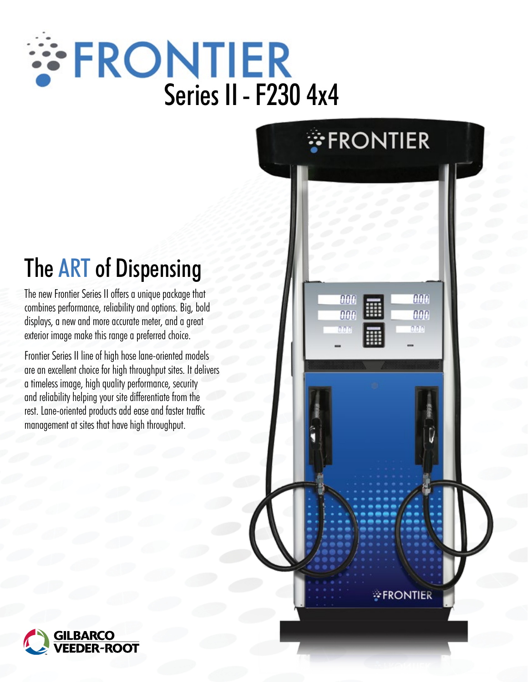# **SERONTIER**<br>Series II - F230 4x4

*FRONTIER* 

000

nnn

000

nne

nan

*FRONTIER* 

## The ART of Dispensing

The new Frontier Series II offers a unique package that combines performance, reliability and options. Big, bold displays, a new and more accurate meter, and a great exterior image make this range a preferred choice.

Frontier Series II line of high hose lane-oriented models are an excellent choice for high throughput sites. It delivers a timeless image, high quality performance, security and reliability helping your site differentiate from the rest. Lane-oriented products add ease and faster traffic management at sites that have high throughput.

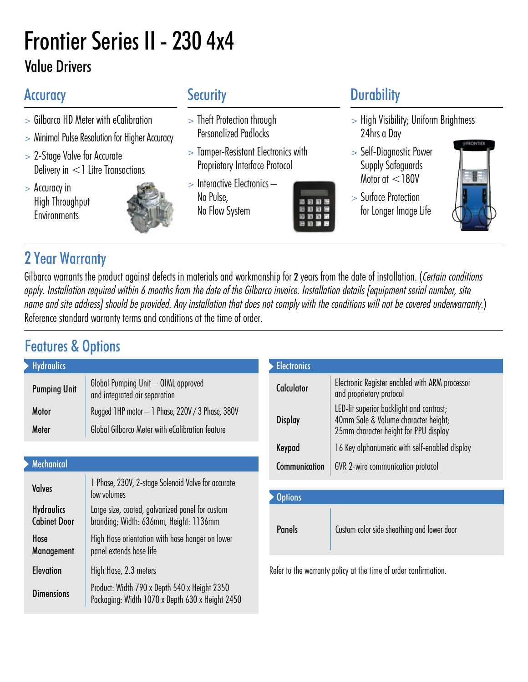## Frontier Series II - 230 4x4 Value Drivers

- > Gilbarco HD Meter with eCalibration
- > Minimal Pulse Resolution for Higher Accuracy
- > 2-Stage Valve for Accurate Delivery in <1 Litre Transactions
- > Accuracy in High Throughput **Environments**

- > Theft Protection through Personalized Padlocks
- > Tamper-Resistant Electronics with Proprietary Interface Protocol
- > Interactive Electronics No Pulse, No Flow System



### Accuracy Security Security Durability

- > High Visibility; Uniform Brightness 24hrs a Day
- > Self-Diagnostic Power Supply Safeguards Motor at <180V
- > Surface Protection for Longer Image Life



#### 2 Year Warranty

Gilbarco warrants the product against defects in materials and workmanship for 2 years from the date of installation. (Certain conditions apply. Installation required within 6 months from the date of the Gilbarco invoice. Installation details [equipment serial number, site name and site address] should be provided. Any installation that does not comply with the conditions will not be covered underwarranty.) Reference standard warranty terms and conditions at the time of order.

#### Features & Options

| <b>Hydraulics</b>   |                                                                      | <b>Electronics</b> |                                            |
|---------------------|----------------------------------------------------------------------|--------------------|--------------------------------------------|
| <b>Pumping Unit</b> | Global Pumping Unit - OIML approved<br>and integrated air separation | <b>Calculator</b>  | Electronic Register<br>and proprietary pro |
| <b>Motor</b>        | Rugged 1HP motor - 1 Phase, 220V / 3 Phase, 380V                     | <b>Display</b>     | LED-lit superior bac<br>40mm Sale & Volu   |
| Meter               | Global Gilbarco Meter with eCalibration feature                      |                    | 25mm character he                          |

#### **Mechanical**

| <b>Valves</b>                            | 1 Phase, 230V, 2-stage Solenoid Valve for accurate<br>low volumes                               |
|------------------------------------------|-------------------------------------------------------------------------------------------------|
| <b>Hydraulics</b><br><b>Cabinet Door</b> | Large size, coated, galvanized panel for custom<br>branding; Width: 636mm, Height: 1136mm       |
| Hose<br>Management                       | High Hose orientation with hose hanger on lower<br>panel extends hose life                      |
| <b>Elevation</b>                         | High Hose, 2.3 meters                                                                           |
| <b>Dimensions</b>                        | Product: Width 790 x Depth 540 x Height 2350<br>Packaging: Width 1070 x Depth 630 x Height 2450 |

| <b>Electronics</b> |                                                                                                                           |  |  |  |
|--------------------|---------------------------------------------------------------------------------------------------------------------------|--|--|--|
| Calculator         | Electronic Register enabled with ARM processor<br>and proprietary protocol                                                |  |  |  |
| <b>Display</b>     | LED-lit superior backlight and contrast;<br>40mm Sale & Volume character height;<br>25mm character height for PPU display |  |  |  |
| Keypad             | 16 Key alphanumeric with self-enabled display                                                                             |  |  |  |
| Communication      | <b>GVR</b> 2-wire communication protocol                                                                                  |  |  |  |
| <b>Options</b>     |                                                                                                                           |  |  |  |
|                    |                                                                                                                           |  |  |  |
| <b>Panels</b>      | Custom color side sheathing and lower door                                                                                |  |  |  |
|                    |                                                                                                                           |  |  |  |

Refer to the warranty policy at the time of order confirmation.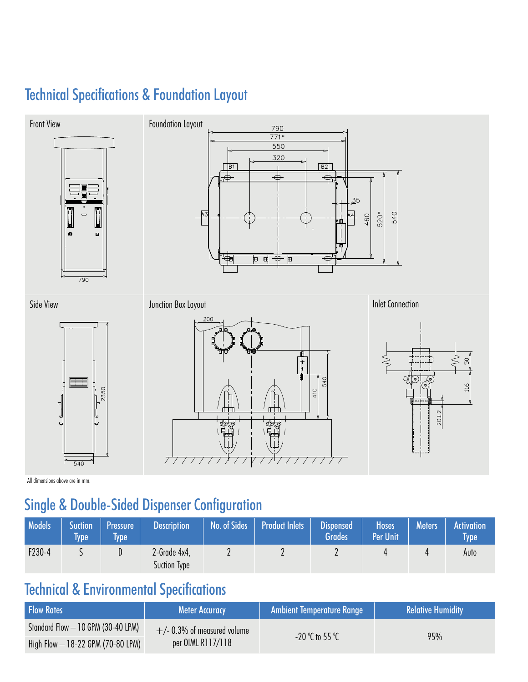#### Technical Specifications & Foundation Layout



All dimensions above are in mm.

#### Single & Double-Sided Dispenser Configuration

| <b>Models</b> | Suction <sup>1</sup><br>Type | Pressure<br><b>Ivpe</b> | <b>Description</b>           | No. of Sides | <b>Product Inlets</b> | <b>Dispensed</b><br>Grades <sup>1</sup> | <b>Hoses</b><br><b>Per Unit</b> | <b>Meters</b> | <b>Activation</b><br><b>Type</b> |
|---------------|------------------------------|-------------------------|------------------------------|--------------|-----------------------|-----------------------------------------|---------------------------------|---------------|----------------------------------|
| $F230-4$      |                              | U.                      | 2-Grade 4x4,<br>Suction Type | <u>.</u>     |                       |                                         |                                 |               | Auto                             |

#### Technical & Environmental Specifications

| <b>Flow Rates</b>                   | <b>Meter Accuracy</b>          | Sambient Temperature Range | <b>Relative Humidity</b> |  |
|-------------------------------------|--------------------------------|----------------------------|--------------------------|--|
| Standard Flow - 10 GPM (30-40 LPM)  | $+/- 0.3\%$ of measured volume |                            | 95%                      |  |
| High Flow $-$ 18-22 GPM (70-80 LPM) | per OIML R117/118              | $-20$ °C to 55 °C          |                          |  |